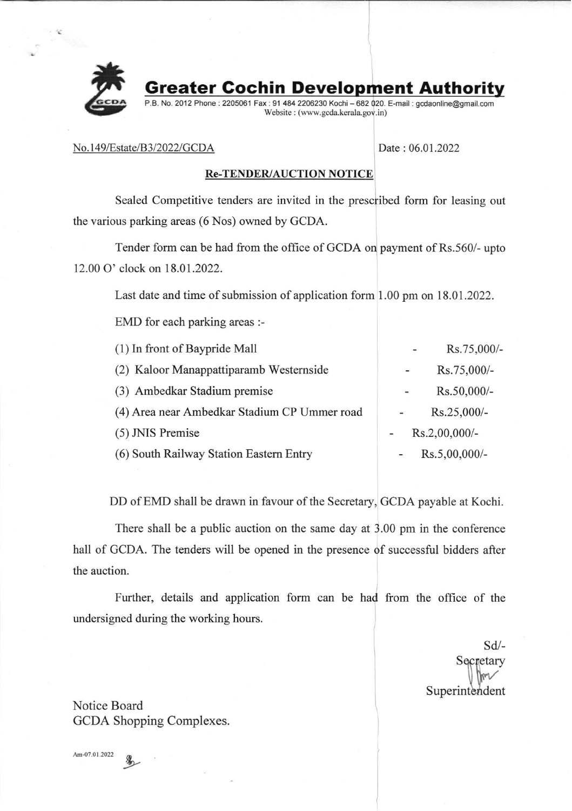

Greater Gochin Development Authority

P.B. No. 2012 Phone : 2205061 Fax : 91 484 2206230 Kochi - 682 020. E-mail : gcdaonline@gmail.com Website : (www. gcda. kerala. gov. in)

### No. 149/Estate/B3/2022/GCDA Date: 06.01.2022

## Re-TENDER/AUCTION NOTICE

Sealed Competitive tenders are invited in the prescribed form for leasing out the various parking areas (6 Nos) owned by GCDA.

Tender form can be had from the office of GCDA on payment of Rs.560/- upto 12.00 O' clock on 18.01.2022.

Last date and time of submission of application form 1.00 pm on 18.01.2022.

EMD for each parking areas :-

| (1) In front of Baypride Mall                | $\overline{\phantom{0}}$ | Rs.75,000/-   |
|----------------------------------------------|--------------------------|---------------|
| (2) Kaloor Manappattiparamb Westernside      | $\sim$                   | Rs.75,000/-   |
| (3) Ambedkar Stadium premise                 | -                        | Rs.50,000/-   |
| (4) Area near Ambedkar Stadium CP Ummer road |                          | Rs.25,000/-   |
| (5) JNIS Premise                             | Rs.2,00,000/-            |               |
| (6) South Railway Station Eastern Entry      |                          | Rs.5,00,000/- |
|                                              |                          |               |

DD of EMD shall be drawn in favour of the Secretary, GCDA payable at Kochi.

There shall be a public auction on the same day at 3.00 pm in the conference hall of GCDA. The tenders will be opened in the presence of successful bidders after the auction.

Further, details and application form can be had from the office of the undersigned during the working hours.

> sd/- Secretary  $\sqrt{\frac{1}{2}}$ Superintendent

Notice Board GCDA Shopping Complexes.

Am-07.01.2022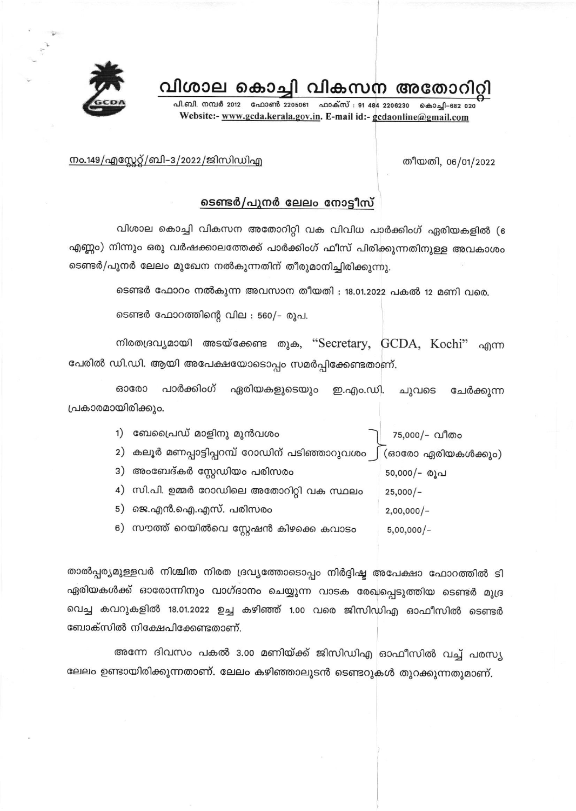വിശാല കൊച്ചി വികസന അതോറിറി

പി.ബി. നമ്പർ 2012 ഫോൺ 2205061 ഫാക്സ് : 91 484 2206230 കൊചി-682 020 Website:- www.gcda.kerala.gov.in. E-mail id:- gcdaonline@gmail.com



#### തീയതി, 06/01/2022

## <u>നം.149/എസ്റ്റേറ്റ്/ബി-3/2022/ജിസിഡിഎ</u>

# ടെണ്ടർ/പുനർ ലേലം നോട്ടീസ്

വിശാല കൊച്ചി വികസന അതോറിറ്റി വക വിവിധ പാർക്കിംഗ് ഏരിയകളിൽ (6 എണ്ണം) നിന്നും ഒരു വർഷക്കാലത്തേക്ക് പാർക്കിംഗ് ഫീസ് പിരിക്കുന്നതിനുള്ള അവകാശം ടെണ്ടർ/പുനർ ലേലം മുഖേന നൽകുന്നതിന് തീരുമാനിച്ചിരിക്കുന്നു.

ടെണ്ടർ ഫോറം നൽകുന്ന അവസാന തീയതി : 18.01.2022 പകൽ 12 മണി വരെ.

ടെണ്ടർ ഫോറത്തിന്റെ വില : 560/- രൂപ.

നിരതദ്രവ്യമായി അടയ്ക്കേണ്ട തുക, "Secretary, GCDA, Kochi" എന്ന പേരിൽ ഡി.ഡി. ആയി അപേക്ഷയോടൊപ്പം സമർപ്പിക്കേണ്ടതാണ്.

630000 പാർക്കിംഗ് ഏരിയകളുടെയും ഇ.എം.ഡി. ചുവടെ ചേർക്കുന്ന പ്രകാരമായിരിക്കും.

| 1) | ബേപ്രൈഡ് മാളിനു മുൻവശം                          | 75,000/- വീതം     |
|----|-------------------------------------------------|-------------------|
|    | 2)  കലൂർ മണപ്പാട്ടിപ്പറമ്പ് റോഡിന് പടിഞ്ഞാറുവശം | (ഓരോ ഏരിയകൾക്കും) |
|    | 3) അംബേദ്കർ സ്റ്റേഡിയം പരിസരം                   | $50,000/-$ രൂപ    |
|    | 4) സി.പി. ഉമ്മർ റോഡിലെ അതോറിറ്റി വക സ്ഥലം       | $25,000/-$        |
|    | 5) ജെ.എൻ.ഐ.എസ്. പരിസരം                          | $2,00,000/-$      |
|    | 6) സൗത്ത് റെയിൽവെ സ്റ്റേഷൻ കിഴക്കെ കവാടം        | $5,00,000/-$      |
|    |                                                 |                   |

താൽപ്പര്യമുള്ളവർ നിശ്ചിത നിരത ദ്രവ്യത്തോടൊപ്പം നിർദ്ദിഷ്ട അപേക്ഷാ ഫോറത്തിൽ ടി ഏരിയകൾക്ക് ഓരോന്നിനും വാഗ്ദാനം ചെയ്യുന്ന വാടക രേഖപ്പെടുത്തിയ ടെണ്ടർ മുദ്ര വെച്ച കവറുകളിൽ 18.01.2022 ഉച്ച കഴിഞ്ഞ് 1.00 വരെ ജിസിഡിഎ ഓഫീസിൽ ടെണ്ടർ ബോക്സിൽ നിക്ഷേപിക്കേണ്ടതാണ്.

അന്നേ ദിവസം പകൽ 3.00 മണിയ്ക്ക് ജിസിഡിഎ ഓഫീസിൽ വച്ച് പരസ്യ ലേലം ഉണ്ടായിരിക്കുന്നതാണ്. ലേലം കഴിഞ്ഞാലുടൻ ടെണ്ടറുകൾ തുറക്കുന്നതുമാണ്.